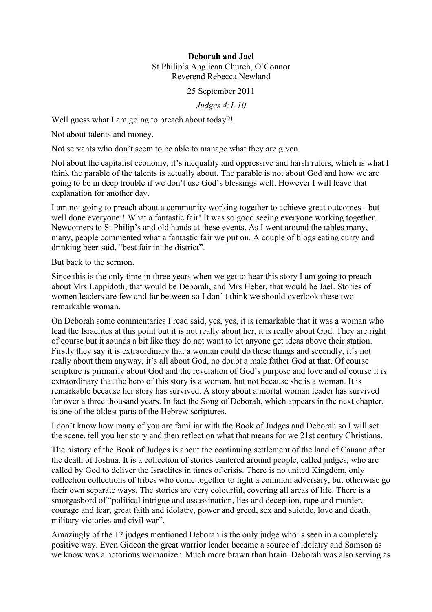## **Deborah and Jael** St Philip's Anglican Church, O'Connor Reverend Rebecca Newland

25 September 2011

*Judges 4:1-10*

Well guess what I am going to preach about today?!

Not about talents and money.

Not servants who don't seem to be able to manage what they are given.

Not about the capitalist economy, it's inequality and oppressive and harsh rulers, which is what I think the parable of the talents is actually about. The parable is not about God and how we are going to be in deep trouble if we don't use God's blessings well. However I will leave that explanation for another day.

I am not going to preach about a community working together to achieve great outcomes - but well done everyone!! What a fantastic fair! It was so good seeing everyone working together. Newcomers to St Philip's and old hands at these events. As I went around the tables many, many, people commented what a fantastic fair we put on. A couple of blogs eating curry and drinking beer said, "best fair in the district".

But back to the sermon.

Since this is the only time in three years when we get to hear this story I am going to preach about Mrs Lappidoth, that would be Deborah, and Mrs Heber, that would be Jael. Stories of women leaders are few and far between so I don' t think we should overlook these two remarkable woman.

On Deborah some commentaries I read said, yes, yes, it is remarkable that it was a woman who lead the Israelites at this point but it is not really about her, it is really about God. They are right of course but it sounds a bit like they do not want to let anyone get ideas above their station. Firstly they say it is extraordinary that a woman could do these things and secondly, it's not really about them anyway, it's all about God, no doubt a male father God at that. Of course scripture is primarily about God and the revelation of God's purpose and love and of course it is extraordinary that the hero of this story is a woman, but not because she is a woman. It is remarkable because her story has survived. A story about a mortal woman leader has survived for over a three thousand years. In fact the Song of Deborah, which appears in the next chapter, is one of the oldest parts of the Hebrew scriptures.

I don't know how many of you are familiar with the Book of Judges and Deborah so I will set the scene, tell you her story and then reflect on what that means for we 21st century Christians.

The history of the Book of Judges is about the continuing settlement of the land of Canaan after the death of Joshua. It is a collection of stories cantered around people, called judges, who are called by God to deliver the Israelites in times of crisis. There is no united Kingdom, only collection collections of tribes who come together to fight a common adversary, but otherwise go their own separate ways. The stories are very colourful, covering all areas of life. There is a smorgasbord of "political intrigue and assassination, lies and deception, rape and murder, courage and fear, great faith and idolatry, power and greed, sex and suicide, love and death, military victories and civil war".

Amazingly of the 12 judges mentioned Deborah is the only judge who is seen in a completely positive way. Even Gideon the great warrior leader became a source of idolatry and Samson as we know was a notorious womanizer. Much more brawn than brain. Deborah was also serving as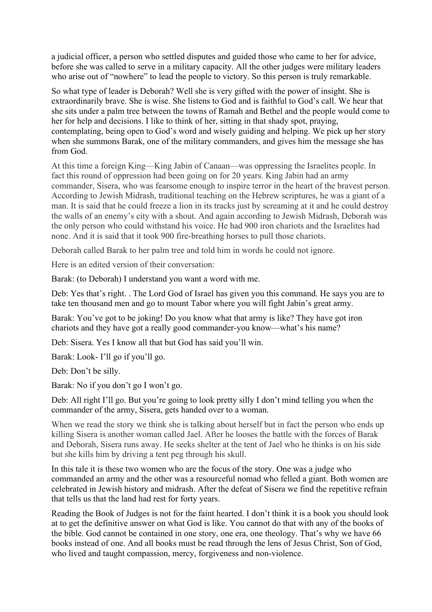a judicial officer, a person who settled disputes and guided those who came to her for advice, before she was called to serve in a military capacity. All the other judges were military leaders who arise out of "nowhere" to lead the people to victory. So this person is truly remarkable.

So what type of leader is Deborah? Well she is very gifted with the power of insight. She is extraordinarily brave. She is wise. She listens to God and is faithful to God's call. We hear that she sits under a palm tree between the towns of Ramah and Bethel and the people would come to her for help and decisions. I like to think of her, sitting in that shady spot, praying, contemplating, being open to God's word and wisely guiding and helping. We pick up her story when she summons Barak, one of the military commanders, and gives him the message she has from God.

At this time a foreign King—King Jabin of Canaan—was oppressing the Israelites people. In fact this round of oppression had been going on for 20 years. King Jabin had an army commander, Sisera, who was fearsome enough to inspire terror in the heart of the bravest person. According to Jewish Midrash, traditional teaching on the Hebrew scriptures, he was a giant of a man. It is said that he could freeze a lion in its tracks just by screaming at it and he could destroy the walls of an enemy's city with a shout. And again according to Jewish Midrash, Deborah was the only person who could withstand his voice. He had 900 iron chariots and the Israelites had none. And it is said that it took 900 fire-breathing horses to pull those chariots.

Deborah called Barak to her palm tree and told him in words he could not ignore.

Here is an edited version of their conversation:

Barak: (to Deborah) I understand you want a word with me.

Deb: Yes that's right. . The Lord God of Israel has given you this command. He says you are to take ten thousand men and go to mount Tabor where you will fight Jabin's great army.

Barak: You've got to be joking! Do you know what that army is like? They have got iron chariots and they have got a really good commander-you know—what's his name?

Deb: Sisera. Yes I know all that but God has said you'll win.

Barak: Look- I'll go if you'll go.

Deb: Don't be silly.

Barak: No if you don't go I won't go.

Deb: All right I'll go. But you're going to look pretty silly I don't mind telling you when the commander of the army, Sisera, gets handed over to a woman.

When we read the story we think she is talking about herself but in fact the person who ends up killing Sisera is another woman called Jael. After he looses the battle with the forces of Barak and Deborah, Sisera runs away. He seeks shelter at the tent of Jael who he thinks is on his side but she kills him by driving a tent peg through his skull.

In this tale it is these two women who are the focus of the story. One was a judge who commanded an army and the other was a resourceful nomad who felled a giant. Both women are celebrated in Jewish history and midrash. After the defeat of Sisera we find the repetitive refrain that tells us that the land had rest for forty years.

Reading the Book of Judges is not for the faint hearted. I don't think it is a book you should look at to get the definitive answer on what God is like. You cannot do that with any of the books of the bible. God cannot be contained in one story, one era, one theology. That's why we have 66 books instead of one. And all books must be read through the lens of Jesus Christ, Son of God, who lived and taught compassion, mercy, forgiveness and non-violence.